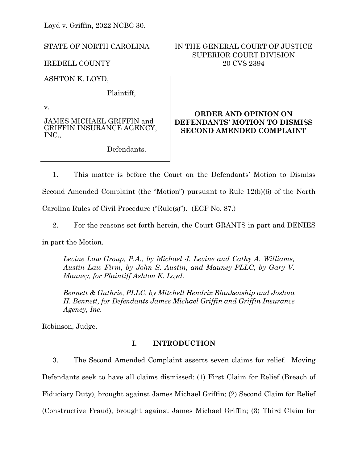Loyd v. Griffin, 2022 NCBC 30.

STATE OF NORTH CAROLINA

IREDELL COUNTY

ASHTON K. LOYD,

Plaintiff,

v.

JAMES MICHAEL GRIFFIN and GRIFFIN INSURANCE AGENCY, INC.,

Defendants.

# IN THE GENERAL COURT OF JUSTICE SUPERIOR COURT DIVISION 20 CVS 2394

# **ORDER AND OPINION ON DEFENDANTS' MOTION TO DISMISS SECOND AMENDED COMPLAINT**

1. This matter is before the Court on the Defendants' Motion to Dismiss Second Amended Complaint (the "Motion") pursuant to Rule 12(b)(6) of the North Carolina Rules of Civil Procedure ("Rule(s)"). (ECF No. 87.)

2. For the reasons set forth herein, the Court GRANTS in part and DENIES

in part the Motion.

*Levine Law Group, P.A., by Michael J. Levine and Cathy A. Williams, Austin Law Firm, by John S. Austin, and Mauney PLLC, by Gary V. Mauney, for Plaintiff Ashton K. Loyd.*

*Bennett & Guthrie, PLLC, by Mitchell Hendrix Blankenship and Joshua H. Bennett, for Defendants James Michael Griffin and Griffin Insurance Agency, Inc.*

Robinson, Judge.

# **I. INTRODUCTION**

3. The Second Amended Complaint asserts seven claims for relief. Moving Defendants seek to have all claims dismissed: (1) First Claim for Relief (Breach of Fiduciary Duty), brought against James Michael Griffin; (2) Second Claim for Relief (Constructive Fraud), brought against James Michael Griffin; (3) Third Claim for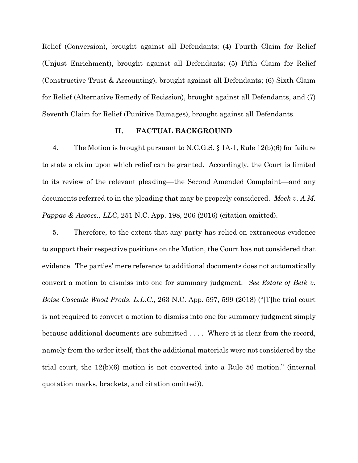Relief (Conversion), brought against all Defendants; (4) Fourth Claim for Relief (Unjust Enrichment), brought against all Defendants; (5) Fifth Claim for Relief (Constructive Trust & Accounting), brought against all Defendants; (6) Sixth Claim for Relief (Alternative Remedy of Recission), brought against all Defendants, and (7) Seventh Claim for Relief (Punitive Damages), brought against all Defendants.

#### **II. FACTUAL BACKGROUND**

4. The Motion is brought pursuant to N.C.G.S. § 1A-1, Rule 12(b)(6) for failure to state a claim upon which relief can be granted. Accordingly, the Court is limited to its review of the relevant pleading––the Second Amended Complaint––and any documents referred to in the pleading that may be properly considered. *Moch v. A.M. Pappas & Assocs., LLC*, 251 N.C. App. 198, 206 (2016) (citation omitted).

5. Therefore, to the extent that any party has relied on extraneous evidence to support their respective positions on the Motion, the Court has not considered that evidence. The parties' mere reference to additional documents does not automatically convert a motion to dismiss into one for summary judgment. *See Estate of Belk v. Boise Cascade Wood Prods. L.L.C.*, 263 N.C. App. 597, 599 (2018) ("[T]he trial court is not required to convert a motion to dismiss into one for summary judgment simply because additional documents are submitted . . . . Where it is clear from the record, namely from the order itself, that the additional materials were not considered by the trial court, the 12(b)(6) motion is not converted into a Rule 56 motion." (internal quotation marks, brackets, and citation omitted)).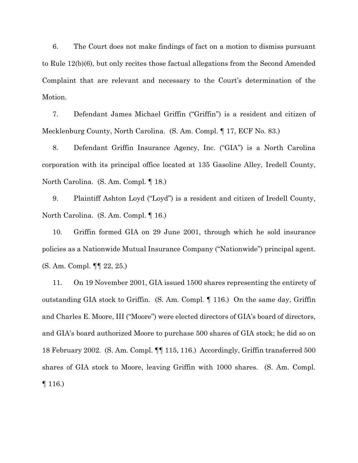6. The Court does not make findings of fact on a motion to dismiss pursuant to Rule 12(b)(6), but only recites those factual allegations from the Second Amended Complaint that are relevant and necessary to the Court's determination of the Motion.

7. Defendant James Michael Griffin ("Griffin") is a resident and citizen of Mecklenburg County, North Carolina. (S. Am. Compl. ¶ 17, ECF No. 83.)

8. Defendant Griffin Insurance Agency, Inc. ("GIA") is a North Carolina corporation with its principal office located at 135 Gasoline Alley, Iredell County, North Carolina. (S. Am. Compl. ¶ 18.)

9. Plaintiff Ashton Loyd ("Loyd") is a resident and citizen of Iredell County, North Carolina. (S. Am. Compl. ¶ 16.)

10. Griffin formed GIA on 29 June 2001, through which he sold insurance policies as a Nationwide Mutual Insurance Company ("Nationwide") principal agent. (S. Am. Compl. ¶¶ 22, 25.)

11. On 19 November 2001, GIA issued 1500 shares representing the entirety of outstanding GIA stock to Griffin. (S. Am. Compl. ¶ 116.) On the same day, Griffin and Charles E. Moore, III ("Moore") were elected directors of GIA's board of directors, and GIA's board authorized Moore to purchase 500 shares of GIA stock; he did so on 18 February 2002. (S. Am. Compl. ¶¶ 115, 116.) Accordingly, Griffin transferred 500 shares of GIA stock to Moore, leaving Griffin with 1000 shares. (S. Am. Compl. ¶ 116.)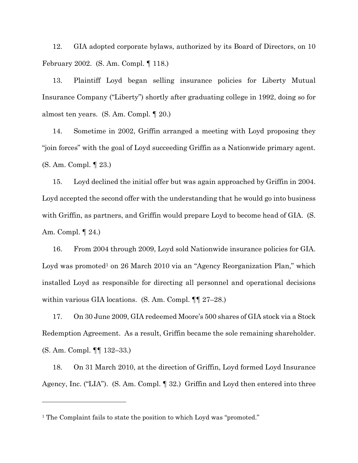12. GIA adopted corporate bylaws, authorized by its Board of Directors, on 10 February 2002. (S. Am. Compl. ¶ 118.)

13. Plaintiff Loyd began selling insurance policies for Liberty Mutual Insurance Company ("Liberty") shortly after graduating college in 1992, doing so for almost ten years. (S. Am. Compl. ¶ 20.)

14. Sometime in 2002, Griffin arranged a meeting with Loyd proposing they "join forces" with the goal of Loyd succeeding Griffin as a Nationwide primary agent. (S. Am. Compl. ¶ 23.)

15. Loyd declined the initial offer but was again approached by Griffin in 2004. Loyd accepted the second offer with the understanding that he would go into business with Griffin, as partners, and Griffin would prepare Loyd to become head of GIA. (S. Am. Compl. ¶ 24.)

16. From 2004 through 2009, Loyd sold Nationwide insurance policies for GIA. Loyd was promoted<sup>1</sup> on 26 March 2010 via an "Agency Reorganization Plan," which installed Loyd as responsible for directing all personnel and operational decisions within various GIA locations. (S. Am. Compl. ¶¶ 27–28.)

17. On 30 June 2009, GIA redeemed Moore's 500 shares of GIA stock via a Stock Redemption Agreement. As a result, Griffin became the sole remaining shareholder. (S. Am. Compl. ¶¶ 132–33.)

18. On 31 March 2010, at the direction of Griffin, Loyd formed Loyd Insurance Agency, Inc. ("LIA"). (S. Am. Compl. ¶ 32.) Griffin and Loyd then entered into three

<sup>&</sup>lt;sup>1</sup> The Complaint fails to state the position to which Loyd was "promoted."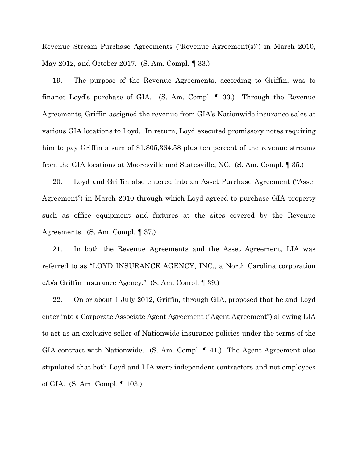Revenue Stream Purchase Agreements ("Revenue Agreement(s)") in March 2010, May 2012, and October 2017. (S. Am. Compl. ¶ 33.)

19. The purpose of the Revenue Agreements, according to Griffin, was to finance Loyd's purchase of GIA. (S. Am. Compl. ¶ 33.) Through the Revenue Agreements, Griffin assigned the revenue from GIA's Nationwide insurance sales at various GIA locations to Loyd. In return, Loyd executed promissory notes requiring him to pay Griffin a sum of \$1,805,364.58 plus ten percent of the revenue streams from the GIA locations at Mooresville and Statesville, NC. (S. Am. Compl. ¶ 35.)

20. Loyd and Griffin also entered into an Asset Purchase Agreement ("Asset Agreement") in March 2010 through which Loyd agreed to purchase GIA property such as office equipment and fixtures at the sites covered by the Revenue Agreements. (S. Am. Compl. ¶ 37.)

21. In both the Revenue Agreements and the Asset Agreement, LIA was referred to as "LOYD INSURANCE AGENCY, INC., a North Carolina corporation d/b/a Griffin Insurance Agency." (S. Am. Compl. ¶ 39.)

22. On or about 1 July 2012, Griffin, through GIA, proposed that he and Loyd enter into a Corporate Associate Agent Agreement ("Agent Agreement") allowing LIA to act as an exclusive seller of Nationwide insurance policies under the terms of the GIA contract with Nationwide. (S. Am. Compl. ¶ 41.) The Agent Agreement also stipulated that both Loyd and LIA were independent contractors and not employees of GIA. (S. Am. Compl. ¶ 103.)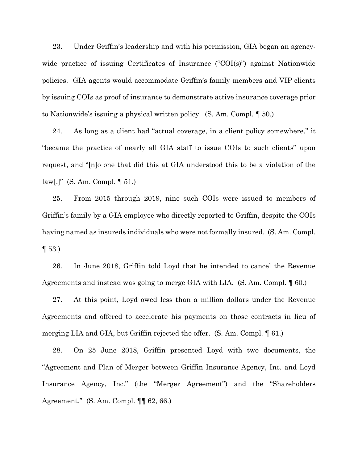23. Under Griffin's leadership and with his permission, GIA began an agencywide practice of issuing Certificates of Insurance ("COI(s)") against Nationwide policies. GIA agents would accommodate Griffin's family members and VIP clients by issuing COIs as proof of insurance to demonstrate active insurance coverage prior to Nationwide's issuing a physical written policy. (S. Am. Compl. ¶ 50.)

24. As long as a client had "actual coverage, in a client policy somewhere," it "became the practice of nearly all GIA staff to issue COIs to such clients" upon request, and "[n]o one that did this at GIA understood this to be a violation of the law[.]" (S. Am. Compl. ¶ 51.)

25. From 2015 through 2019, nine such COIs were issued to members of Griffin's family by a GIA employee who directly reported to Griffin, despite the COIs having named as insureds individuals who were not formally insured. (S. Am. Compl.  $\P 53.$ 

26. In June 2018, Griffin told Loyd that he intended to cancel the Revenue Agreements and instead was going to merge GIA with LIA. (S. Am. Compl. ¶ 60.)

27. At this point, Loyd owed less than a million dollars under the Revenue Agreements and offered to accelerate his payments on those contracts in lieu of merging LIA and GIA, but Griffin rejected the offer. (S. Am. Compl. ¶ 61.)

28. On 25 June 2018, Griffin presented Loyd with two documents, the "Agreement and Plan of Merger between Griffin Insurance Agency, Inc. and Loyd Insurance Agency, Inc." (the "Merger Agreement") and the "Shareholders Agreement." (S. Am. Compl. ¶¶ 62, 66.)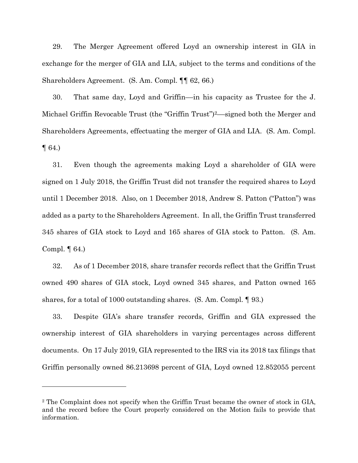29. The Merger Agreement offered Loyd an ownership interest in GIA in exchange for the merger of GIA and LIA, subject to the terms and conditions of the Shareholders Agreement. (S. Am. Compl. ¶¶ 62, 66.)

30. That same day, Loyd and Griffin––in his capacity as Trustee for the J. Michael Griffin Revocable Trust (the "Griffin Trust")2––signed both the Merger and Shareholders Agreements, effectuating the merger of GIA and LIA. (S. Am. Compl.  $\P$  64.)

31. Even though the agreements making Loyd a shareholder of GIA were signed on 1 July 2018, the Griffin Trust did not transfer the required shares to Loyd until 1 December 2018. Also, on 1 December 2018, Andrew S. Patton ("Patton") was added as a party to the Shareholders Agreement. In all, the Griffin Trust transferred 345 shares of GIA stock to Loyd and 165 shares of GIA stock to Patton. (S. Am. Compl. ¶ 64.)

32. As of 1 December 2018, share transfer records reflect that the Griffin Trust owned 490 shares of GIA stock, Loyd owned 345 shares, and Patton owned 165 shares, for a total of 1000 outstanding shares. (S. Am. Compl. ¶ 93.)

33. Despite GIA's share transfer records, Griffin and GIA expressed the ownership interest of GIA shareholders in varying percentages across different documents. On 17 July 2019, GIA represented to the IRS via its 2018 tax filings that Griffin personally owned 86.213698 percent of GIA, Loyd owned 12.852055 percent

<sup>2</sup> The Complaint does not specify when the Griffin Trust became the owner of stock in GIA, and the record before the Court properly considered on the Motion fails to provide that information.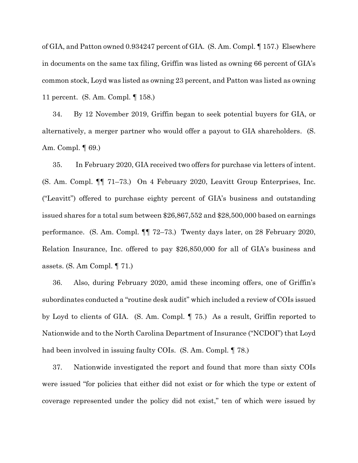of GIA, and Patton owned 0.934247 percent of GIA. (S. Am. Compl. ¶ 157.) Elsewhere in documents on the same tax filing, Griffin was listed as owning 66 percent of GIA's common stock, Loyd was listed as owning 23 percent, and Patton was listed as owning 11 percent. (S. Am. Compl. ¶ 158.)

34. By 12 November 2019, Griffin began to seek potential buyers for GIA, or alternatively, a merger partner who would offer a payout to GIA shareholders. (S. Am. Compl. ¶ 69.)

35. In February 2020, GIA received two offers for purchase via letters of intent. (S. Am. Compl. ¶¶ 71–73.) On 4 February 2020, Leavitt Group Enterprises, Inc. ("Leavitt") offered to purchase eighty percent of GIA's business and outstanding issued shares for a total sum between \$26,867,552 and \$28,500,000 based on earnings performance. (S. Am. Compl. ¶¶ 72–73.) Twenty days later, on 28 February 2020, Relation Insurance, Inc. offered to pay \$26,850,000 for all of GIA's business and assets. (S. Am Compl. ¶ 71.)

36. Also, during February 2020, amid these incoming offers, one of Griffin's subordinates conducted a "routine desk audit" which included a review of COIs issued by Loyd to clients of GIA. (S. Am. Compl. ¶ 75.) As a result, Griffin reported to Nationwide and to the North Carolina Department of Insurance ("NCDOI") that Loyd had been involved in issuing faulty COIs. (S. Am. Compl. ¶ 78.)

37. Nationwide investigated the report and found that more than sixty COIs were issued "for policies that either did not exist or for which the type or extent of coverage represented under the policy did not exist," ten of which were issued by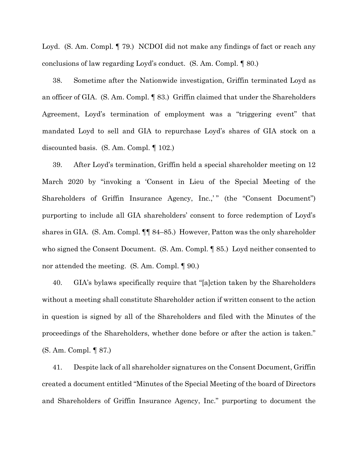Loyd. (S. Am. Compl. ¶ 79.) NCDOI did not make any findings of fact or reach any conclusions of law regarding Loyd's conduct. (S. Am. Compl. ¶ 80.)

38. Sometime after the Nationwide investigation, Griffin terminated Loyd as an officer of GIA. (S. Am. Compl. ¶ 83.) Griffin claimed that under the Shareholders Agreement, Loyd's termination of employment was a "triggering event" that mandated Loyd to sell and GIA to repurchase Loyd's shares of GIA stock on a discounted basis. (S. Am. Compl. ¶ 102.)

39. After Loyd's termination, Griffin held a special shareholder meeting on 12 March 2020 by "invoking a 'Consent in Lieu of the Special Meeting of the Shareholders of Griffin Insurance Agency, Inc.," (the "Consent Document") purporting to include all GIA shareholders' consent to force redemption of Loyd's shares in GIA. (S. Am. Compl. ¶¶ 84–85.) However, Patton was the only shareholder who signed the Consent Document. (S. Am. Compl. ¶ 85.) Loyd neither consented to nor attended the meeting. (S. Am. Compl. ¶ 90.)

40. GIA's bylaws specifically require that "[a]ction taken by the Shareholders without a meeting shall constitute Shareholder action if written consent to the action in question is signed by all of the Shareholders and filed with the Minutes of the proceedings of the Shareholders, whether done before or after the action is taken." (S. Am. Compl. ¶ 87.)

41. Despite lack of all shareholder signatures on the Consent Document, Griffin created a document entitled "Minutes of the Special Meeting of the board of Directors and Shareholders of Griffin Insurance Agency, Inc." purporting to document the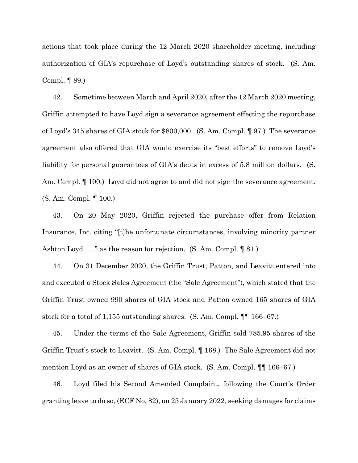actions that took place during the 12 March 2020 shareholder meeting, including authorization of GIA's repurchase of Loyd's outstanding shares of stock. (S. Am. Compl. ¶ 89.)

42. Sometime between March and April 2020, after the 12 March 2020 meeting, Griffin attempted to have Loyd sign a severance agreement effecting the repurchase of Loyd's 345 shares of GIA stock for \$800,000. (S. Am. Compl. ¶ 97.) The severance agreement also offered that GIA would exercise its "best efforts" to remove Loyd's liability for personal guarantees of GIA's debts in excess of 5.8 million dollars. (S. Am. Compl.  $\P$  100.) Loyd did not agree to and did not sign the severance agreement. (S. Am. Compl. ¶ 100.)

43. On 20 May 2020, Griffin rejected the purchase offer from Relation Insurance, Inc. citing "[t]he unfortunate circumstances, involving minority partner Ashton Loyd . . ." as the reason for rejection. (S. Am. Compl. ¶ 81.)

44. On 31 December 2020, the Griffin Trust, Patton, and Leavitt entered into and executed a Stock Sales Agreement (the "Sale Agreement"), which stated that the Griffin Trust owned 990 shares of GIA stock and Patton owned 165 shares of GIA stock for a total of 1,155 outstanding shares. (S. Am. Compl. ¶¶ 166–67.)

45. Under the terms of the Sale Agreement, Griffin sold 785.95 shares of the Griffin Trust's stock to Leavitt. (S. Am. Compl. ¶ 168.) The Sale Agreement did not mention Loyd as an owner of shares of GIA stock. (S. Am. Compl. ¶¶ 166–67.)

46. Loyd filed his Second Amended Complaint, following the Court's Order granting leave to do so, (ECF No. 82), on 25 January 2022, seeking damages for claims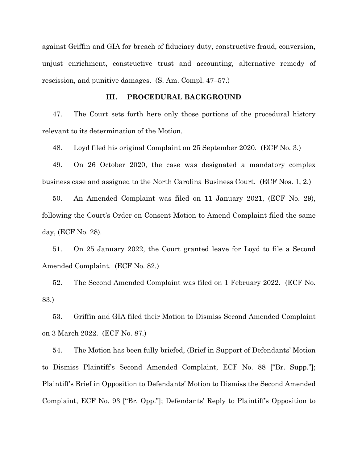against Griffin and GIA for breach of fiduciary duty, constructive fraud, conversion, unjust enrichment, constructive trust and accounting, alternative remedy of rescission, and punitive damages. (S. Am. Compl. 47–57.)

#### **III. PROCEDURAL BACKGROUND**

47. The Court sets forth here only those portions of the procedural history relevant to its determination of the Motion.

48. Loyd filed his original Complaint on 25 September 2020. (ECF No. 3.)

49. On 26 October 2020, the case was designated a mandatory complex business case and assigned to the North Carolina Business Court. (ECF Nos. 1, 2.)

50. An Amended Complaint was filed on 11 January 2021, (ECF No. 29), following the Court's Order on Consent Motion to Amend Complaint filed the same day, (ECF No. 28).

51. On 25 January 2022, the Court granted leave for Loyd to file a Second Amended Complaint. (ECF No. 82.)

52. The Second Amended Complaint was filed on 1 February 2022. (ECF No. 83.)

53. Griffin and GIA filed their Motion to Dismiss Second Amended Complaint on 3 March 2022. (ECF No. 87.)

54. The Motion has been fully briefed, (Brief in Support of Defendants' Motion to Dismiss Plaintiff's Second Amended Complaint, ECF No. 88 ["Br. Supp."]; Plaintiff's Brief in Opposition to Defendants' Motion to Dismiss the Second Amended Complaint, ECF No. 93 ["Br. Opp."]; Defendants' Reply to Plaintiff's Opposition to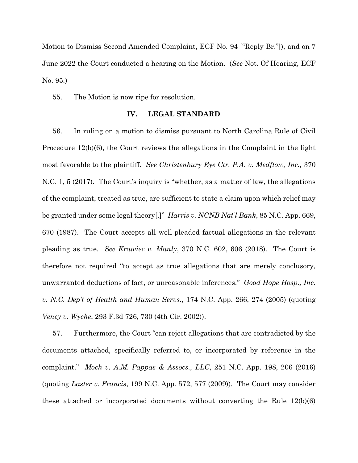Motion to Dismiss Second Amended Complaint, ECF No. 94 ["Reply Br."]), and on 7 June 2022 the Court conducted a hearing on the Motion. (*See* Not. Of Hearing, ECF No. 95.)

55. The Motion is now ripe for resolution.

## **IV. LEGAL STANDARD**

56. In ruling on a motion to dismiss pursuant to North Carolina Rule of Civil Procedure 12(b)(6), the Court reviews the allegations in the Complaint in the light most favorable to the plaintiff. *See Christenbury Eye Ctr. P.A. v. Medflow, Inc.,* 370 N.C. 1, 5 (2017). The Court's inquiry is "whether, as a matter of law, the allegations of the complaint, treated as true, are sufficient to state a claim upon which relief may be granted under some legal theory[.]" *Harris v. NCNB Nat'l Bank*, 85 N.C. App. 669, 670 (1987). The Court accepts all well-pleaded factual allegations in the relevant pleading as true. *See Krawiec v. Manly*, 370 N.C. 602, 606 (2018). The Court is therefore not required "to accept as true allegations that are merely conclusory, unwarranted deductions of fact, or unreasonable inferences." *Good Hope Hosp., Inc. v. N.C. Dep't of Health and Human Servs.*, 174 N.C. App. 266, 274 (2005) (quoting *Veney v. Wyche*, 293 F.3d 726, 730 (4th Cir. 2002)).

57. Furthermore, the Court "can reject allegations that are contradicted by the documents attached, specifically referred to, or incorporated by reference in the complaint." *Moch v. A.M. Pappas & Assocs., LLC*, 251 N.C. App. 198, 206 (2016) (quoting *Laster v. Francis*, 199 N.C. App. 572, 577 (2009)). The Court may consider these attached or incorporated documents without converting the Rule 12(b)(6)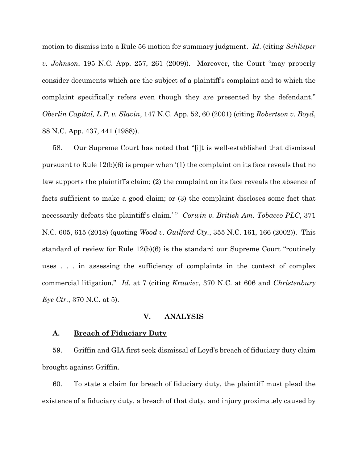motion to dismiss into a Rule 56 motion for summary judgment. *Id*. (citing *Schlieper v. Johnson*, 195 N.C. App. 257, 261 (2009)). Moreover, the Court "may properly consider documents which are the subject of a plaintiff's complaint and to which the complaint specifically refers even though they are presented by the defendant." *Oberlin Capital, L.P. v. Slavin*, 147 N.C. App. 52, 60 (2001) (citing *Robertson v. Boyd*, 88 N.C. App. 437, 441 (1988)).

58. Our Supreme Court has noted that "[i]t is well-established that dismissal pursuant to Rule  $12(b)(6)$  is proper when  $(1)$  the complaint on its face reveals that no law supports the plaintiff's claim; (2) the complaint on its face reveals the absence of facts sufficient to make a good claim; or (3) the complaint discloses some fact that necessarily defeats the plaintiff's claim.'" *Corwin v. British Am. Tobacco PLC*, 371 N.C. 605, 615 (2018) (quoting *Wood v. Guilford Cty.*, 355 N.C. 161, 166 (2002)). This standard of review for Rule 12(b)(6) is the standard our Supreme Court "routinely uses . . . in assessing the sufficiency of complaints in the context of complex commercial litigation." *Id.* at 7 (citing *Krawiec*, 370 N.C. at 606 and *Christenbury Eye Ctr.*, 370 N.C. at 5).

#### **V. ANALYSIS**

#### **A. Breach of Fiduciary Duty**

59. Griffin and GIA first seek dismissal of Loyd's breach of fiduciary duty claim brought against Griffin.

60. To state a claim for breach of fiduciary duty, the plaintiff must plead the existence of a fiduciary duty, a breach of that duty, and injury proximately caused by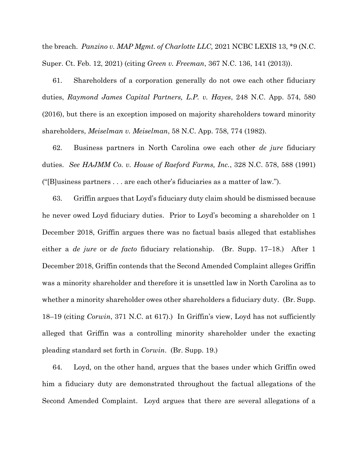the breach. *Panzino v. MAP Mgmt. of Charlotte LLC,* 2021 NCBC LEXIS 13, \*9 (N.C. Super. Ct. Feb. 12, 2021) (citing *Green v. Freeman*, 367 N.C. 136, 141 (2013)).

61. Shareholders of a corporation generally do not owe each other fiduciary duties, *Raymond James Capital Partners, L.P. v. Hayes*, 248 N.C. App. 574, 580 (2016), but there is an exception imposed on majority shareholders toward minority shareholders, *Meiselman v. Meiselman*, 58 N.C. App. 758, 774 (1982).

62. Business partners in North Carolina owe each other *de jure* fiduciary duties. *See HAJMM Co. v. House of Raeford Farms, Inc.*, 328 N.C. 578, 588 (1991) ("[B]usiness partners . . . are each other's fiduciaries as a matter of law.").

63. Griffin argues that Loyd's fiduciary duty claim should be dismissed because he never owed Loyd fiduciary duties. Prior to Loyd's becoming a shareholder on 1 December 2018, Griffin argues there was no factual basis alleged that establishes either a *de jure* or *de facto* fiduciary relationship. (Br. Supp. 17–18.) After 1 December 2018, Griffin contends that the Second Amended Complaint alleges Griffin was a minority shareholder and therefore it is unsettled law in North Carolina as to whether a minority shareholder owes other shareholders a fiduciary duty. (Br. Supp. 18–19 (citing *Corwin*, 371 N.C. at 617).) In Griffin's view, Loyd has not sufficiently alleged that Griffin was a controlling minority shareholder under the exacting pleading standard set forth in *Corwin*. (Br. Supp. 19.)

64. Loyd, on the other hand, argues that the bases under which Griffin owed him a fiduciary duty are demonstrated throughout the factual allegations of the Second Amended Complaint. Loyd argues that there are several allegations of a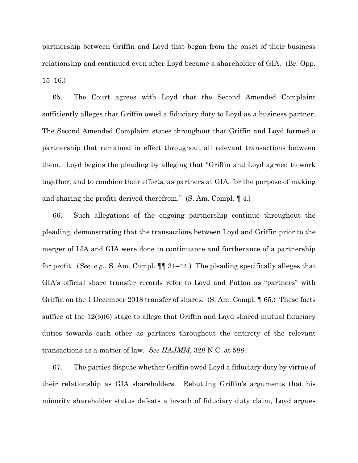partnership between Griffin and Loyd that began from the onset of their business relationship and continued even after Loyd became a shareholder of GIA. (Br. Opp. 15–16.)

65. The Court agrees with Loyd that the Second Amended Complaint sufficiently alleges that Griffin owed a fiduciary duty to Loyd as a business partner. The Second Amended Complaint states throughout that Griffin and Loyd formed a partnership that remained in effect throughout all relevant transactions between them. Loyd begins the pleading by alleging that "Griffin and Loyd agreed to work together, and to combine their efforts, as partners at GIA, for the purpose of making and sharing the profits derived therefrom." (S. Am. Compl. ¶ 4.)

66. Such allegations of the ongoing partnership continue throughout the pleading, demonstrating that the transactions between Loyd and Griffin prior to the merger of LIA and GIA were done in continuance and furtherance of a partnership for profit. (*See, e.g.*, S. Am. Compl. ¶¶ 31–44.) The pleading specifically alleges that GIA's official share transfer records refer to Loyd and Patton as "partners" with Griffin on the 1 December 2018 transfer of shares. (S. Am. Compl. ¶ 65.) These facts suffice at the 12(b)(6) stage to allege that Griffin and Loyd shared mutual fiduciary duties towards each other as partners throughout the entirety of the relevant transactions as a matter of law. *See HAJMM*, 328 N.C. at 588.

67. The parties dispute whether Griffin owed Loyd a fiduciary duty by virtue of their relationship as GIA shareholders. Rebutting Griffin's arguments that his minority shareholder status defeats a breach of fiduciary duty claim, Loyd argues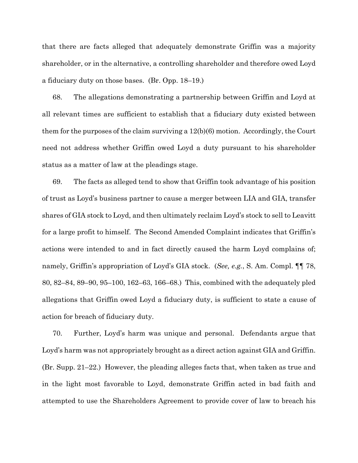that there are facts alleged that adequately demonstrate Griffin was a majority shareholder, or in the alternative, a controlling shareholder and therefore owed Loyd a fiduciary duty on those bases. (Br. Opp. 18–19.)

68. The allegations demonstrating a partnership between Griffin and Loyd at all relevant times are sufficient to establish that a fiduciary duty existed between them for the purposes of the claim surviving a  $12(b)(6)$  motion. Accordingly, the Court need not address whether Griffin owed Loyd a duty pursuant to his shareholder status as a matter of law at the pleadings stage.

69. The facts as alleged tend to show that Griffin took advantage of his position of trust as Loyd's business partner to cause a merger between LIA and GIA, transfer shares of GIA stock to Loyd, and then ultimately reclaim Loyd's stock to sell to Leavitt for a large profit to himself. The Second Amended Complaint indicates that Griffin's actions were intended to and in fact directly caused the harm Loyd complains of; namely, Griffin's appropriation of Loyd's GIA stock. (*See, e.g.*, S. Am. Compl. ¶¶ 78, 80, 82–84, 89–90, 95–100, 162–63, 166–68.) This, combined with the adequately pled allegations that Griffin owed Loyd a fiduciary duty, is sufficient to state a cause of action for breach of fiduciary duty.

70. Further, Loyd's harm was unique and personal. Defendants argue that Loyd's harm was not appropriately brought as a direct action against GIA and Griffin. (Br. Supp. 21–22.) However, the pleading alleges facts that, when taken as true and in the light most favorable to Loyd, demonstrate Griffin acted in bad faith and attempted to use the Shareholders Agreement to provide cover of law to breach his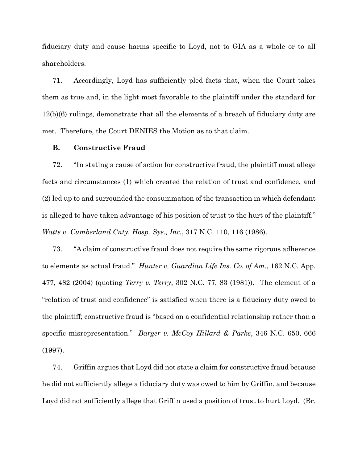fiduciary duty and cause harms specific to Loyd, not to GIA as a whole or to all shareholders.

71. Accordingly, Loyd has sufficiently pled facts that, when the Court takes them as true and, in the light most favorable to the plaintiff under the standard for 12(b)(6) rulings, demonstrate that all the elements of a breach of fiduciary duty are met. Therefore, the Court DENIES the Motion as to that claim.

## **B. Constructive Fraud**

72. "In stating a cause of action for constructive fraud, the plaintiff must allege facts and circumstances (1) which created the relation of trust and confidence, and (2) led up to and surrounded the consummation of the transaction in which defendant is alleged to have taken advantage of his position of trust to the hurt of the plaintiff." *Watts v. Cumberland Cnty. Hosp. Sys., Inc.*, 317 N.C. 110, 116 (1986).

73. "A claim of constructive fraud does not require the same rigorous adherence to elements as actual fraud." *Hunter v. Guardian Life Ins. Co. of Am.*, 162 N.C. App. 477, 482 (2004) (quoting *Terry v. Terry*, 302 N.C. 77, 83 (1981)). The element of a "relation of trust and confidence" is satisfied when there is a fiduciary duty owed to the plaintiff; constructive fraud is "based on a confidential relationship rather than a specific misrepresentation." *Barger v. McCoy Hillard & Parks*, 346 N.C. 650, 666 (1997).

74. Griffin argues that Loyd did not state a claim for constructive fraud because he did not sufficiently allege a fiduciary duty was owed to him by Griffin, and because Loyd did not sufficiently allege that Griffin used a position of trust to hurt Loyd. (Br.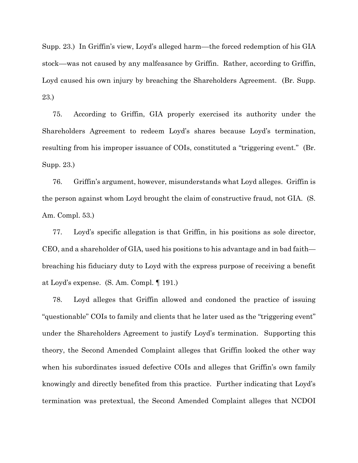Supp. 23.) In Griffin's view, Loyd's alleged harm––the forced redemption of his GIA stock––was not caused by any malfeasance by Griffin. Rather, according to Griffin, Loyd caused his own injury by breaching the Shareholders Agreement. (Br. Supp. 23.)

75. According to Griffin, GIA properly exercised its authority under the Shareholders Agreement to redeem Loyd's shares because Loyd's termination, resulting from his improper issuance of COIs, constituted a "triggering event." (Br. Supp. 23.)

76. Griffin's argument, however, misunderstands what Loyd alleges. Griffin is the person against whom Loyd brought the claim of constructive fraud, not GIA. (S. Am. Compl. 53.)

77. Loyd's specific allegation is that Griffin, in his positions as sole director, CEO, and a shareholder of GIA, used his positions to his advantage and in bad faith breaching his fiduciary duty to Loyd with the express purpose of receiving a benefit at Loyd's expense. (S. Am. Compl. ¶ 191.)

78. Loyd alleges that Griffin allowed and condoned the practice of issuing "questionable" COIs to family and clients that he later used as the "triggering event" under the Shareholders Agreement to justify Loyd's termination. Supporting this theory, the Second Amended Complaint alleges that Griffin looked the other way when his subordinates issued defective COIs and alleges that Griffin's own family knowingly and directly benefited from this practice. Further indicating that Loyd's termination was pretextual, the Second Amended Complaint alleges that NCDOI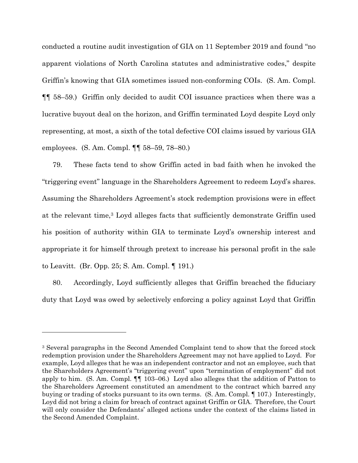conducted a routine audit investigation of GIA on 11 September 2019 and found "no apparent violations of North Carolina statutes and administrative codes," despite Griffin's knowing that GIA sometimes issued non-conforming COIs. (S. Am. Compl. ¶¶ 58–59.) Griffin only decided to audit COI issuance practices when there was a lucrative buyout deal on the horizon, and Griffin terminated Loyd despite Loyd only representing, at most, a sixth of the total defective COI claims issued by various GIA employees. (S. Am. Compl. ¶¶ 58–59, 78–80.)

79. These facts tend to show Griffin acted in bad faith when he invoked the "triggering event" language in the Shareholders Agreement to redeem Loyd's shares. Assuming the Shareholders Agreement's stock redemption provisions were in effect at the relevant time,<sup>3</sup> Loyd alleges facts that sufficiently demonstrate Griffin used his position of authority within GIA to terminate Loyd's ownership interest and appropriate it for himself through pretext to increase his personal profit in the sale to Leavitt. (Br. Opp. 25; S. Am. Compl. ¶ 191.)

80. Accordingly, Loyd sufficiently alleges that Griffin breached the fiduciary duty that Loyd was owed by selectively enforcing a policy against Loyd that Griffin

<sup>3</sup> Several paragraphs in the Second Amended Complaint tend to show that the forced stock redemption provision under the Shareholders Agreement may not have applied to Loyd. For example, Loyd alleges that he was an independent contractor and not an employee, such that the Shareholders Agreement's "triggering event" upon "termination of employment" did not apply to him. (S. Am. Compl. ¶¶ 103–06.) Loyd also alleges that the addition of Patton to the Shareholders Agreement constituted an amendment to the contract which barred any buying or trading of stocks pursuant to its own terms. (S. Am. Compl. ¶ 107.) Interestingly, Loyd did not bring a claim for breach of contract against Griffin or GIA. Therefore, the Court will only consider the Defendants' alleged actions under the context of the claims listed in the Second Amended Complaint.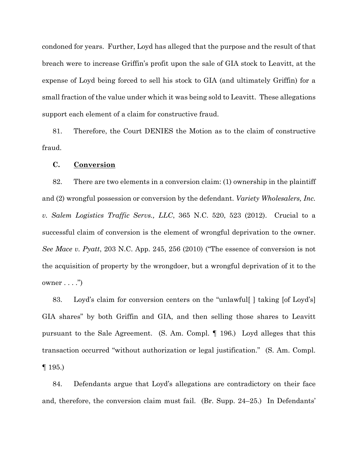condoned for years. Further, Loyd has alleged that the purpose and the result of that breach were to increase Griffin's profit upon the sale of GIA stock to Leavitt, at the expense of Loyd being forced to sell his stock to GIA (and ultimately Griffin) for a small fraction of the value under which it was being sold to Leavitt. These allegations support each element of a claim for constructive fraud.

81. Therefore, the Court DENIES the Motion as to the claim of constructive fraud.

## **C. Conversion**

82. There are two elements in a conversion claim: (1) ownership in the plaintiff and (2) wrongful possession or conversion by the defendant. *Variety Wholesalers, Inc. v. Salem Logistics Traffic Servs., LLC*, 365 N.C. 520, 523 (2012). Crucial to a successful claim of conversion is the element of wrongful deprivation to the owner. *See Mace v. Pyatt*, 203 N.C. App. 245, 256 (2010) ("The essence of conversion is not the acquisition of property by the wrongdoer, but a wrongful deprivation of it to the  $o$ wner  $\dots$ .")

83. Loyd's claim for conversion centers on the "unlawful[ ] taking [of Loyd's] GIA shares" by both Griffin and GIA, and then selling those shares to Leavitt pursuant to the Sale Agreement. (S. Am. Compl. ¶ 196.) Loyd alleges that this transaction occurred "without authorization or legal justification." (S. Am. Compl.  $\P$  195.)

84. Defendants argue that Loyd's allegations are contradictory on their face and, therefore, the conversion claim must fail. (Br. Supp. 24–25.) In Defendants'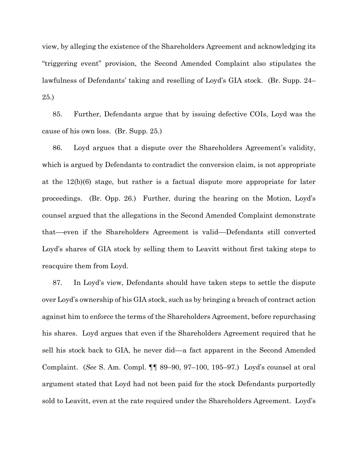view, by alleging the existence of the Shareholders Agreement and acknowledging its "triggering event" provision, the Second Amended Complaint also stipulates the lawfulness of Defendants' taking and reselling of Loyd's GIA stock. (Br. Supp. 24– 25.)

85. Further, Defendants argue that by issuing defective COIs, Loyd was the cause of his own loss. (Br. Supp. 25.)

86. Loyd argues that a dispute over the Shareholders Agreement's validity, which is argued by Defendants to contradict the conversion claim, is not appropriate at the 12(b)(6) stage, but rather is a factual dispute more appropriate for later proceedings. (Br. Opp. 26.) Further, during the hearing on the Motion, Loyd's counsel argued that the allegations in the Second Amended Complaint demonstrate that––even if the Shareholders Agreement is valid––Defendants still converted Loyd's shares of GIA stock by selling them to Leavitt without first taking steps to reacquire them from Loyd.

87. In Loyd's view, Defendants should have taken steps to settle the dispute over Loyd's ownership of his GIA stock, such as by bringing a breach of contract action against him to enforce the terms of the Shareholders Agreement, before repurchasing his shares. Loyd argues that even if the Shareholders Agreement required that he sell his stock back to GIA, he never did––a fact apparent in the Second Amended Complaint. (*See* S. Am. Compl. ¶¶ 89–90, 97–100, 195–97.) Loyd's counsel at oral argument stated that Loyd had not been paid for the stock Defendants purportedly sold to Leavitt, even at the rate required under the Shareholders Agreement. Loyd's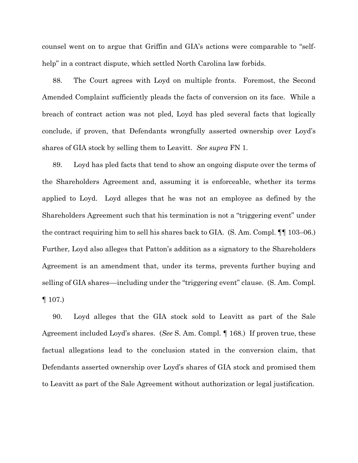counsel went on to argue that Griffin and GIA's actions were comparable to "selfhelp" in a contract dispute, which settled North Carolina law forbids.

88. The Court agrees with Loyd on multiple fronts. Foremost, the Second Amended Complaint sufficiently pleads the facts of conversion on its face. While a breach of contract action was not pled, Loyd has pled several facts that logically conclude, if proven, that Defendants wrongfully asserted ownership over Loyd's shares of GIA stock by selling them to Leavitt. *See supra* FN 1.

89. Loyd has pled facts that tend to show an ongoing dispute over the terms of the Shareholders Agreement and, assuming it is enforceable, whether its terms applied to Loyd. Loyd alleges that he was not an employee as defined by the Shareholders Agreement such that his termination is not a "triggering event" under the contract requiring him to sell his shares back to GIA. (S. Am. Compl. ¶¶ 103–06.) Further, Loyd also alleges that Patton's addition as a signatory to the Shareholders Agreement is an amendment that, under its terms, prevents further buying and selling of GIA shares––including under the "triggering event" clause. (S. Am. Compl. ¶ 107.)

90. Loyd alleges that the GIA stock sold to Leavitt as part of the Sale Agreement included Loyd's shares. (*See* S. Am. Compl. ¶ 168.) If proven true, these factual allegations lead to the conclusion stated in the conversion claim, that Defendants asserted ownership over Loyd's shares of GIA stock and promised them to Leavitt as part of the Sale Agreement without authorization or legal justification.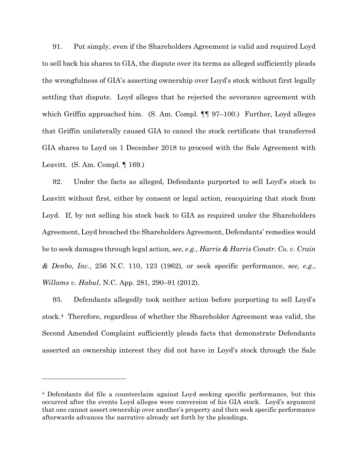91. Put simply, even if the Shareholders Agreement is valid and required Loyd to sell back his shares to GIA, the dispute over its terms as alleged sufficiently pleads the wrongfulness of GIA's asserting ownership over Loyd's stock without first legally settling that dispute. Loyd alleges that he rejected the severance agreement with which Griffin approached him. (S. Am. Compl. ¶¶ 97–100.) Further, Loyd alleges that Griffin unilaterally caused GIA to cancel the stock certificate that transferred GIA shares to Loyd on 1 December 2018 to proceed with the Sale Agreement with Leavitt. (S. Am. Compl. ¶ 169.)

92. Under the facts as alleged, Defendants purported to sell Loyd's stock to Leavitt without first, either by consent or legal action, reacquiring that stock from Loyd. If, by not selling his stock back to GIA as required under the Shareholders Agreement, Loyd breached the Shareholders Agreement, Defendants' remedies would be to seek damages through legal action, *see, e.g.*, *Harris & Harris Constr. Co. v. Crain & Denbo, Inc.*, 256 N.C. 110, 123 (1962), or seek specific performance, *see, e.g.*, *Willams v. Habul*, N.C. App. 281, 290–91 (2012).

93. Defendants allegedly took neither action before purporting to sell Loyd's stock.4 Therefore, regardless of whether the Shareholder Agreement was valid, the Second Amended Complaint sufficiently pleads facts that demonstrate Defendants asserted an ownership interest they did not have in Loyd's stock through the Sale

<sup>4</sup> Defendants did file a counterclaim against Loyd seeking specific performance, but this occurred after the events Loyd alleges were conversion of his GIA stock. Loyd's argument that one cannot assert ownership over another's property and then seek specific performance afterwards advances the narrative already set forth by the pleadings.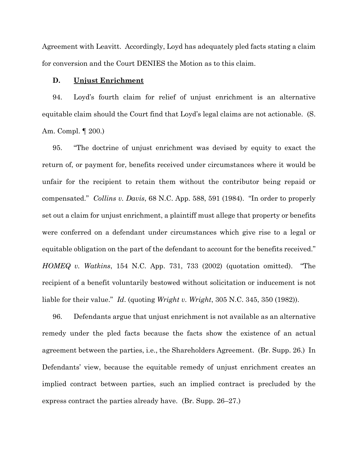Agreement with Leavitt. Accordingly, Loyd has adequately pled facts stating a claim for conversion and the Court DENIES the Motion as to this claim.

## **D. Unjust Enrichment**

94. Loyd's fourth claim for relief of unjust enrichment is an alternative equitable claim should the Court find that Loyd's legal claims are not actionable. (S. Am. Compl. ¶ 200.)

95. "The doctrine of unjust enrichment was devised by equity to exact the return of, or payment for, benefits received under circumstances where it would be unfair for the recipient to retain them without the contributor being repaid or compensated." *Collins v. Davis*, 68 N.C. App. 588, 591 (1984). "In order to properly set out a claim for unjust enrichment, a plaintiff must allege that property or benefits were conferred on a defendant under circumstances which give rise to a legal or equitable obligation on the part of the defendant to account for the benefits received." *HOMEQ v. Watkins*, 154 N.C. App. 731, 733 (2002) (quotation omitted). "The recipient of a benefit voluntarily bestowed without solicitation or inducement is not liable for their value." *Id*. (quoting *Wright v. Wright*, 305 N.C. 345, 350 (1982)).

96. Defendants argue that unjust enrichment is not available as an alternative remedy under the pled facts because the facts show the existence of an actual agreement between the parties, i.e., the Shareholders Agreement. (Br. Supp. 26.) In Defendants' view, because the equitable remedy of unjust enrichment creates an implied contract between parties, such an implied contract is precluded by the express contract the parties already have. (Br. Supp. 26–27.)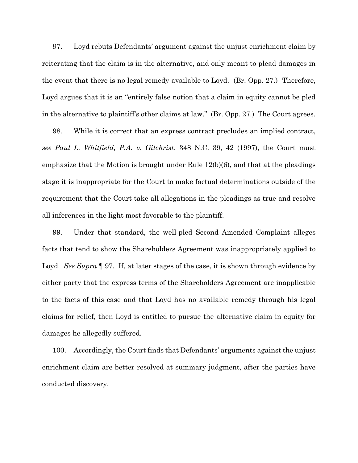97. Loyd rebuts Defendants' argument against the unjust enrichment claim by reiterating that the claim is in the alternative, and only meant to plead damages in the event that there is no legal remedy available to Loyd. (Br. Opp. 27.) Therefore, Loyd argues that it is an "entirely false notion that a claim in equity cannot be pled in the alternative to plaintiff's other claims at law." (Br. Opp. 27.) The Court agrees.

98. While it is correct that an express contract precludes an implied contract, *see Paul L. Whitfield, P.A. v. Gilchrist*, 348 N.C. 39, 42 (1997), the Court must emphasize that the Motion is brought under Rule 12(b)(6), and that at the pleadings stage it is inappropriate for the Court to make factual determinations outside of the requirement that the Court take all allegations in the pleadings as true and resolve all inferences in the light most favorable to the plaintiff.

99. Under that standard, the well-pled Second Amended Complaint alleges facts that tend to show the Shareholders Agreement was inappropriately applied to Loyd. *See Supra* **[97.** If, at later stages of the case, it is shown through evidence by either party that the express terms of the Shareholders Agreement are inapplicable to the facts of this case and that Loyd has no available remedy through his legal claims for relief, then Loyd is entitled to pursue the alternative claim in equity for damages he allegedly suffered.

100. Accordingly, the Court finds that Defendants' arguments against the unjust enrichment claim are better resolved at summary judgment, after the parties have conducted discovery.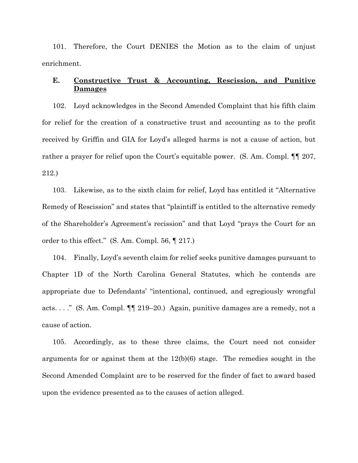101. Therefore, the Court DENIES the Motion as to the claim of unjust enrichment.

## **E. Constructive Trust & Accounting, Rescission, and Punitive Damages**

102. Loyd acknowledges in the Second Amended Complaint that his fifth claim for relief for the creation of a constructive trust and accounting as to the profit received by Griffin and GIA for Loyd's alleged harms is not a cause of action, but rather a prayer for relief upon the Court's equitable power. (S. Am. Compl. ¶¶ 207, 212.)

103. Likewise, as to the sixth claim for relief, Loyd has entitled it "Alternative Remedy of Rescission" and states that "plaintiff is entitled to the alternative remedy of the Shareholder's Agreement's recission" and that Loyd "prays the Court for an order to this effect." (S. Am. Compl. 56, ¶ 217.)

104. Finally, Loyd's seventh claim for relief seeks punitive damages pursuant to Chapter 1D of the North Carolina General Statutes, which he contends are appropriate due to Defendants' "intentional, continued, and egregiously wrongful acts. . . ." (S. Am. Compl. ¶¶ 219–20.) Again, punitive damages are a remedy, not a cause of action.

105. Accordingly, as to these three claims, the Court need not consider arguments for or against them at the 12(b)(6) stage. The remedies sought in the Second Amended Complaint are to be reserved for the finder of fact to award based upon the evidence presented as to the causes of action alleged.